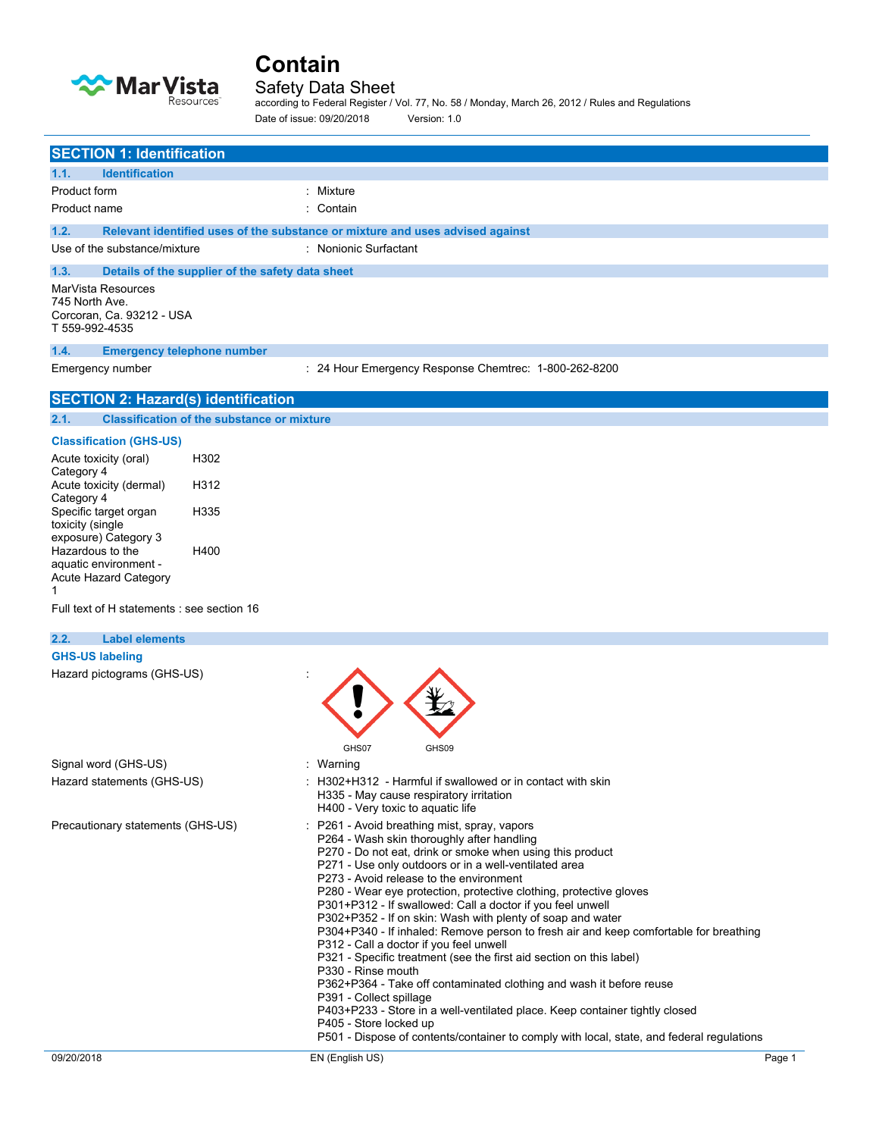

## Safety Data Sheet

according to Federal Register / Vol. 77, No. 58 / Monday, March 26, 2012 / Rules and Regulations Date of issue: 09/20/2018 Version: 1.0

| <b>SECTION 1: Identification</b>                                                    |                                                                                                                                                                                                                                                                                                                                                                                                                                                                                                                                                                                                                                                                                                                                                                                                                                                                                                                                                                                                        |
|-------------------------------------------------------------------------------------|--------------------------------------------------------------------------------------------------------------------------------------------------------------------------------------------------------------------------------------------------------------------------------------------------------------------------------------------------------------------------------------------------------------------------------------------------------------------------------------------------------------------------------------------------------------------------------------------------------------------------------------------------------------------------------------------------------------------------------------------------------------------------------------------------------------------------------------------------------------------------------------------------------------------------------------------------------------------------------------------------------|
| <b>Identification</b><br>1.1.                                                       |                                                                                                                                                                                                                                                                                                                                                                                                                                                                                                                                                                                                                                                                                                                                                                                                                                                                                                                                                                                                        |
| Product form                                                                        | : Mixture                                                                                                                                                                                                                                                                                                                                                                                                                                                                                                                                                                                                                                                                                                                                                                                                                                                                                                                                                                                              |
| Product name                                                                        | : Contain                                                                                                                                                                                                                                                                                                                                                                                                                                                                                                                                                                                                                                                                                                                                                                                                                                                                                                                                                                                              |
| 1.2.                                                                                | Relevant identified uses of the substance or mixture and uses advised against                                                                                                                                                                                                                                                                                                                                                                                                                                                                                                                                                                                                                                                                                                                                                                                                                                                                                                                          |
| Use of the substance/mixture                                                        | : Nonionic Surfactant                                                                                                                                                                                                                                                                                                                                                                                                                                                                                                                                                                                                                                                                                                                                                                                                                                                                                                                                                                                  |
| 1.3.<br>Details of the supplier of the safety data sheet                            |                                                                                                                                                                                                                                                                                                                                                                                                                                                                                                                                                                                                                                                                                                                                                                                                                                                                                                                                                                                                        |
| MarVista Resources<br>745 North Ave.<br>Corcoran, Ca. 93212 - USA<br>T 559-992-4535 |                                                                                                                                                                                                                                                                                                                                                                                                                                                                                                                                                                                                                                                                                                                                                                                                                                                                                                                                                                                                        |
| 1.4.<br><b>Emergency telephone number</b>                                           |                                                                                                                                                                                                                                                                                                                                                                                                                                                                                                                                                                                                                                                                                                                                                                                                                                                                                                                                                                                                        |
| Emergency number                                                                    | : 24 Hour Emergency Response Chemtrec: 1-800-262-8200                                                                                                                                                                                                                                                                                                                                                                                                                                                                                                                                                                                                                                                                                                                                                                                                                                                                                                                                                  |
| <b>SECTION 2: Hazard(s) identification</b>                                          |                                                                                                                                                                                                                                                                                                                                                                                                                                                                                                                                                                                                                                                                                                                                                                                                                                                                                                                                                                                                        |
| 2.1.<br><b>Classification of the substance or mixture</b>                           |                                                                                                                                                                                                                                                                                                                                                                                                                                                                                                                                                                                                                                                                                                                                                                                                                                                                                                                                                                                                        |
| <b>Classification (GHS-US)</b>                                                      |                                                                                                                                                                                                                                                                                                                                                                                                                                                                                                                                                                                                                                                                                                                                                                                                                                                                                                                                                                                                        |
| H302<br>Acute toxicity (oral)                                                       |                                                                                                                                                                                                                                                                                                                                                                                                                                                                                                                                                                                                                                                                                                                                                                                                                                                                                                                                                                                                        |
| Category 4<br>H312<br>Acute toxicity (dermal)                                       |                                                                                                                                                                                                                                                                                                                                                                                                                                                                                                                                                                                                                                                                                                                                                                                                                                                                                                                                                                                                        |
| Category 4<br>Specific target organ<br>H335<br>toxicity (single                     |                                                                                                                                                                                                                                                                                                                                                                                                                                                                                                                                                                                                                                                                                                                                                                                                                                                                                                                                                                                                        |
| exposure) Category 3                                                                |                                                                                                                                                                                                                                                                                                                                                                                                                                                                                                                                                                                                                                                                                                                                                                                                                                                                                                                                                                                                        |
| Hazardous to the<br>H400<br>aquatic environment -                                   |                                                                                                                                                                                                                                                                                                                                                                                                                                                                                                                                                                                                                                                                                                                                                                                                                                                                                                                                                                                                        |
| Acute Hazard Category                                                               |                                                                                                                                                                                                                                                                                                                                                                                                                                                                                                                                                                                                                                                                                                                                                                                                                                                                                                                                                                                                        |
| 1.                                                                                  |                                                                                                                                                                                                                                                                                                                                                                                                                                                                                                                                                                                                                                                                                                                                                                                                                                                                                                                                                                                                        |
| Full text of H statements : see section 16                                          |                                                                                                                                                                                                                                                                                                                                                                                                                                                                                                                                                                                                                                                                                                                                                                                                                                                                                                                                                                                                        |
| 2.2.<br><b>Label elements</b>                                                       |                                                                                                                                                                                                                                                                                                                                                                                                                                                                                                                                                                                                                                                                                                                                                                                                                                                                                                                                                                                                        |
| <b>GHS-US labeling</b>                                                              |                                                                                                                                                                                                                                                                                                                                                                                                                                                                                                                                                                                                                                                                                                                                                                                                                                                                                                                                                                                                        |
|                                                                                     |                                                                                                                                                                                                                                                                                                                                                                                                                                                                                                                                                                                                                                                                                                                                                                                                                                                                                                                                                                                                        |
| Hazard pictograms (GHS-US)                                                          |                                                                                                                                                                                                                                                                                                                                                                                                                                                                                                                                                                                                                                                                                                                                                                                                                                                                                                                                                                                                        |
|                                                                                     |                                                                                                                                                                                                                                                                                                                                                                                                                                                                                                                                                                                                                                                                                                                                                                                                                                                                                                                                                                                                        |
|                                                                                     |                                                                                                                                                                                                                                                                                                                                                                                                                                                                                                                                                                                                                                                                                                                                                                                                                                                                                                                                                                                                        |
|                                                                                     | GHS07<br>GHS09                                                                                                                                                                                                                                                                                                                                                                                                                                                                                                                                                                                                                                                                                                                                                                                                                                                                                                                                                                                         |
| Signal word (GHS-US)                                                                | : Warning                                                                                                                                                                                                                                                                                                                                                                                                                                                                                                                                                                                                                                                                                                                                                                                                                                                                                                                                                                                              |
| Hazard statements (GHS-US)                                                          | : H302+H312 - Harmful if swallowed or in contact with skin<br>H335 - May cause respiratory irritation<br>H400 - Very toxic to aquatic life                                                                                                                                                                                                                                                                                                                                                                                                                                                                                                                                                                                                                                                                                                                                                                                                                                                             |
| Precautionary statements (GHS-US)                                                   | : P261 - Avoid breathing mist, spray, vapors<br>P264 - Wash skin thoroughly after handling<br>P270 - Do not eat, drink or smoke when using this product<br>P271 - Use only outdoors or in a well-ventilated area<br>P273 - Avoid release to the environment<br>P280 - Wear eye protection, protective clothing, protective gloves<br>P301+P312 - If swallowed: Call a doctor if you feel unwell<br>P302+P352 - If on skin: Wash with plenty of soap and water<br>P304+P340 - If inhaled: Remove person to fresh air and keep comfortable for breathing<br>P312 - Call a doctor if you feel unwell<br>P321 - Specific treatment (see the first aid section on this label)<br>P330 - Rinse mouth<br>P362+P364 - Take off contaminated clothing and wash it before reuse<br>P391 - Collect spillage<br>P403+P233 - Store in a well-ventilated place. Keep container tightly closed<br>P405 - Store locked up<br>P501 - Dispose of contents/container to comply with local, state, and federal regulations |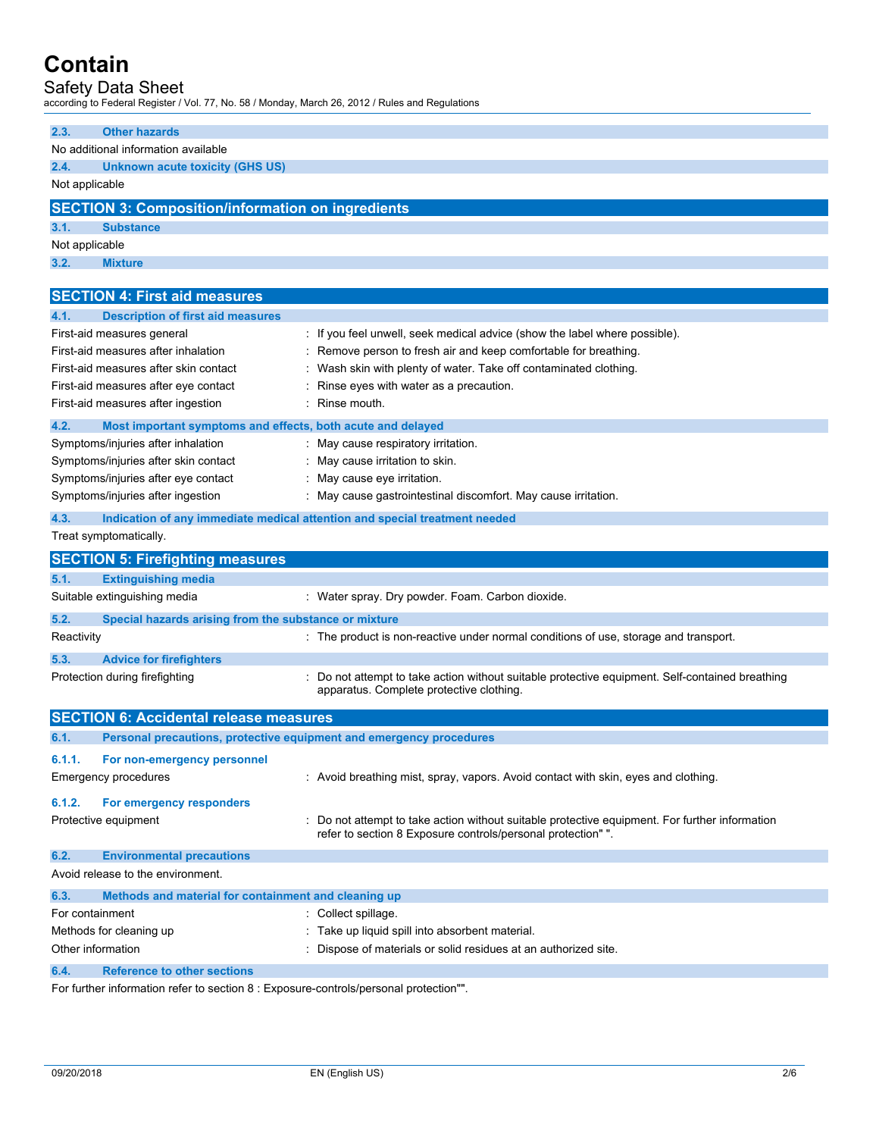## Safety Data Sheet

according to Federal Register / Vol. 77, No. 58 / Monday, March 26, 2012 / Rules and Regulations

| 2.3.              | <b>Other hazards</b>                                                       |                                                                                                                                                               |
|-------------------|----------------------------------------------------------------------------|---------------------------------------------------------------------------------------------------------------------------------------------------------------|
|                   | No additional information available                                        |                                                                                                                                                               |
| 2.4.              | <b>Unknown acute toxicity (GHS US)</b>                                     |                                                                                                                                                               |
| Not applicable    |                                                                            |                                                                                                                                                               |
|                   | <b>SECTION 3: Composition/information on ingredients</b>                   |                                                                                                                                                               |
| 3.1.              | <b>Substance</b>                                                           |                                                                                                                                                               |
| Not applicable    |                                                                            |                                                                                                                                                               |
| 3.2.              | <b>Mixture</b>                                                             |                                                                                                                                                               |
|                   |                                                                            |                                                                                                                                                               |
|                   | <b>SECTION 4: First aid measures</b>                                       |                                                                                                                                                               |
| 4.1.              | <b>Description of first aid measures</b>                                   |                                                                                                                                                               |
|                   | First-aid measures general                                                 | : If you feel unwell, seek medical advice (show the label where possible).                                                                                    |
|                   | First-aid measures after inhalation                                        | : Remove person to fresh air and keep comfortable for breathing.                                                                                              |
|                   | First-aid measures after skin contact                                      | : Wash skin with plenty of water. Take off contaminated clothing.                                                                                             |
|                   | First-aid measures after eye contact                                       | Rinse eyes with water as a precaution.                                                                                                                        |
|                   | First-aid measures after ingestion                                         | : Rinse mouth.                                                                                                                                                |
| 4.2.              | Most important symptoms and effects, both acute and delayed                |                                                                                                                                                               |
|                   | Symptoms/injuries after inhalation                                         | : May cause respiratory irritation.                                                                                                                           |
|                   | Symptoms/injuries after skin contact                                       | : May cause irritation to skin.                                                                                                                               |
|                   | Symptoms/injuries after eye contact                                        | : May cause eye irritation.                                                                                                                                   |
|                   | Symptoms/injuries after ingestion                                          | : May cause gastrointestinal discomfort. May cause irritation.                                                                                                |
| 4.3.              | Indication of any immediate medical attention and special treatment needed |                                                                                                                                                               |
|                   | Treat symptomatically.                                                     |                                                                                                                                                               |
|                   |                                                                            |                                                                                                                                                               |
|                   |                                                                            |                                                                                                                                                               |
| 5.1.              | <b>SECTION 5: Firefighting measures</b><br><b>Extinguishing media</b>      |                                                                                                                                                               |
|                   | Suitable extinguishing media                                               | : Water spray. Dry powder. Foam. Carbon dioxide.                                                                                                              |
|                   |                                                                            |                                                                                                                                                               |
| 5.2.              | Special hazards arising from the substance or mixture                      |                                                                                                                                                               |
| Reactivity        |                                                                            | : The product is non-reactive under normal conditions of use, storage and transport.                                                                          |
| 5.3.              | <b>Advice for firefighters</b>                                             |                                                                                                                                                               |
|                   | Protection during firefighting                                             | : Do not attempt to take action without suitable protective equipment. Self-contained breathing<br>apparatus. Complete protective clothing.                   |
|                   |                                                                            |                                                                                                                                                               |
|                   | <b>SECTION 6: Accidental release measures</b>                              |                                                                                                                                                               |
| 6.1.              | Personal precautions, protective equipment and emergency procedures        |                                                                                                                                                               |
| 6.1.1.            | For non-emergency personnel                                                |                                                                                                                                                               |
|                   | Emergency procedures                                                       | : Avoid breathing mist, spray, vapors. Avoid contact with skin, eyes and clothing.                                                                            |
|                   |                                                                            |                                                                                                                                                               |
| 6.1.2.            | For emergency responders                                                   |                                                                                                                                                               |
|                   | Protective equipment                                                       | : Do not attempt to take action without suitable protective equipment. For further information<br>refer to section 8 Exposure controls/personal protection"". |
| 6.2.              |                                                                            |                                                                                                                                                               |
|                   | <b>Environmental precautions</b><br>Avoid release to the environment.      |                                                                                                                                                               |
|                   |                                                                            |                                                                                                                                                               |
| 6.3.              | Methods and material for containment and cleaning up                       |                                                                                                                                                               |
| For containment   |                                                                            | : Collect spillage.                                                                                                                                           |
| Other information | Methods for cleaning up                                                    | : Take up liquid spill into absorbent material.                                                                                                               |
| 6.4.              | <b>Reference to other sections</b>                                         | : Dispose of materials or solid residues at an authorized site.                                                                                               |

For further information refer to section 8 : Exposure-controls/personal protection"".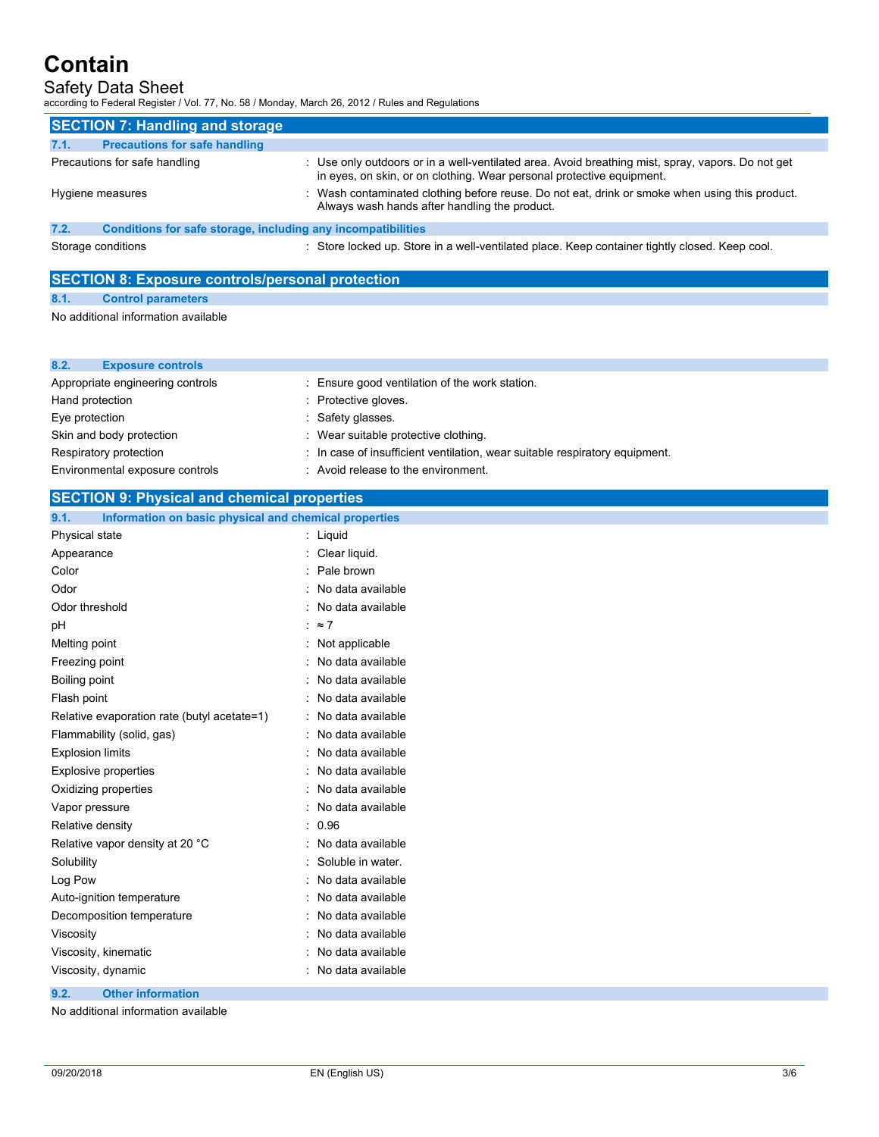## Safety Data Sheet

according to Federal Register / Vol. 77, No. 58 / Monday, March 26, 2012 / Rules and Regulations

| <b>SECTION 7: Handling and storage</b>                                                                               |                                                                                                                                                                            |  |
|----------------------------------------------------------------------------------------------------------------------|----------------------------------------------------------------------------------------------------------------------------------------------------------------------------|--|
| <b>Precautions for safe handling</b><br>7.1.                                                                         |                                                                                                                                                                            |  |
| Precautions for safe handling                                                                                        | : Use only outdoors or in a well-ventilated area. Avoid breathing mist, spray, vapors. Do not get<br>in eyes, on skin, or on clothing. Wear personal protective equipment. |  |
| Hygiene measures                                                                                                     | : Wash contaminated clothing before reuse. Do not eat, drink or smoke when using this product.<br>Always wash hands after handling the product.                            |  |
| 7.2.<br>Conditions for safe storage, including any incompatibilities                                                 |                                                                                                                                                                            |  |
| : Store locked up. Store in a well-ventilated place. Keep container tightly closed. Keep cool.<br>Storage conditions |                                                                                                                                                                            |  |

## **SECTION 8: Exposure controls/personal protection**

#### **8.1. Control parameters**

**8.2. Exposure controls**

No additional information available

| 0.4.<br><b>EXPOSURE CONTROLS</b> |                                                                             |
|----------------------------------|-----------------------------------------------------------------------------|
| Appropriate engineering controls | : Ensure good ventilation of the work station.                              |
| Hand protection                  | : Protective gloves.                                                        |
| Eye protection                   | : Safety glasses.                                                           |
| Skin and body protection         | : Wear suitable protective clothing.                                        |
| Respiratory protection           | : In case of insufficient ventilation, wear suitable respiratory equipment. |
| Environmental exposure controls  | Avoid release to the environment.                                           |

### **SECTION 9: Physical and chemical properties**

| Information on basic physical and chemical properties<br>9.1. |                     |
|---------------------------------------------------------------|---------------------|
| Physical state                                                | : Liquid            |
| Appearance                                                    | Clear liquid.       |
| Color                                                         | Pale brown          |
| Odor                                                          | No data available   |
| Odor threshold                                                | No data available   |
| pH                                                            | : $\approx$ 7       |
| Melting point                                                 | Not applicable      |
| Freezing point                                                | No data available   |
| Boiling point                                                 | No data available   |
| Flash point                                                   | No data available   |
| Relative evaporation rate (butyl acetate=1)                   | No data available   |
| Flammability (solid, gas)                                     | No data available   |
| <b>Explosion limits</b>                                       | No data available   |
| <b>Explosive properties</b>                                   | No data available   |
| Oxidizing properties                                          | No data available   |
| Vapor pressure                                                | No data available   |
| Relative density                                              | : 0.96              |
| Relative vapor density at 20 °C                               | No data available   |
| Solubility                                                    | : Soluble in water. |
| Log Pow                                                       | No data available   |
| Auto-ignition temperature                                     | No data available   |
| Decomposition temperature                                     | No data available   |
| Viscosity                                                     | No data available   |
| Viscosity, kinematic                                          | No data available   |
| Viscosity, dynamic                                            | No data available   |
|                                                               |                     |

## **9.2. Other information**

No additional information available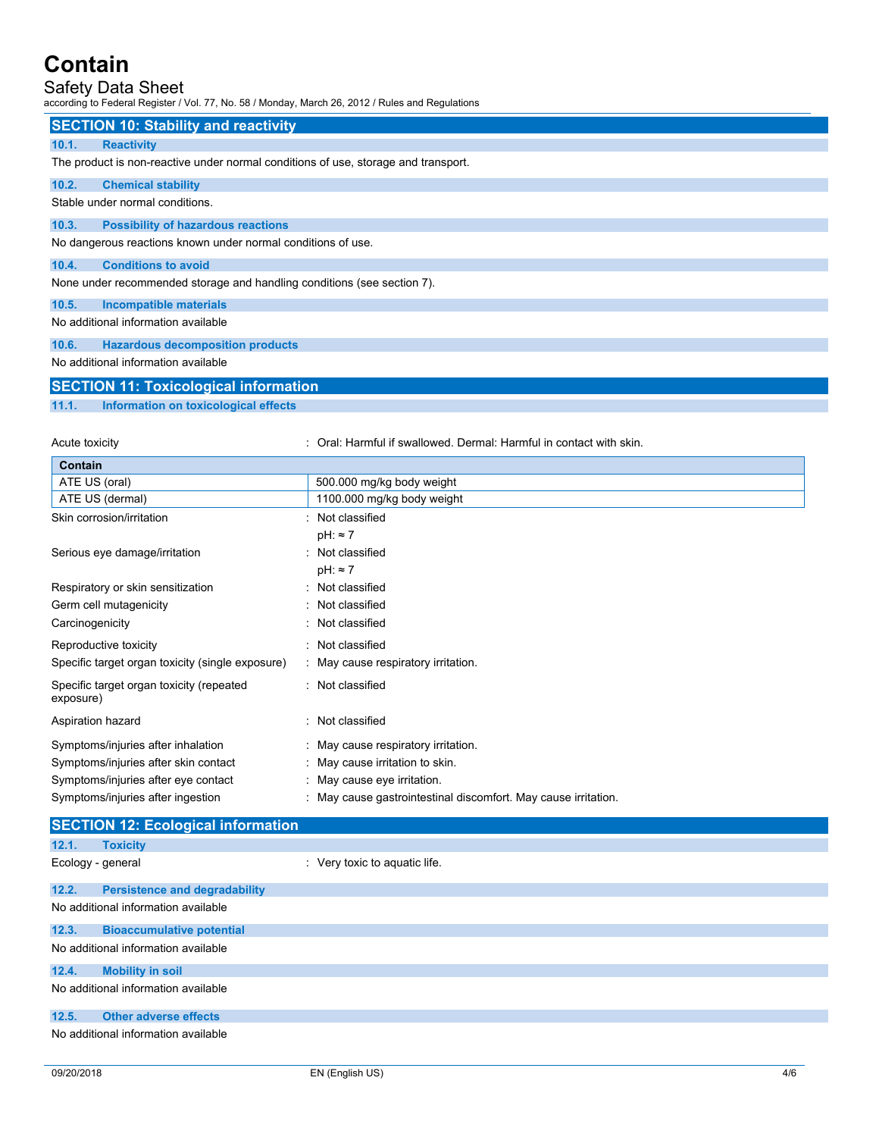## Safety Data Sheet

according to Federal Register / Vol. 77, No. 58 / Monday, March 26, 2012 / Rules and Regulations

|                                                                                    | <b>SECTION 10: Stability and reactivity</b>                  |  |  |  |
|------------------------------------------------------------------------------------|--------------------------------------------------------------|--|--|--|
| <b>Reactivity</b><br>10.1.                                                         |                                                              |  |  |  |
| The product is non-reactive under normal conditions of use, storage and transport. |                                                              |  |  |  |
| 10.2.                                                                              | <b>Chemical stability</b>                                    |  |  |  |
| Stable under normal conditions.                                                    |                                                              |  |  |  |
| 10.3.                                                                              | <b>Possibility of hazardous reactions</b>                    |  |  |  |
|                                                                                    | No dangerous reactions known under normal conditions of use. |  |  |  |
| 10.4.                                                                              | <b>Conditions to avoid</b>                                   |  |  |  |
| None under recommended storage and handling conditions (see section 7).            |                                                              |  |  |  |
| 10.5.                                                                              | <b>Incompatible materials</b>                                |  |  |  |
|                                                                                    | No additional information available                          |  |  |  |
| 10.6.                                                                              | <b>Hazardous decomposition products</b>                      |  |  |  |
|                                                                                    | No additional information available                          |  |  |  |

| <b>SECTION 11: Toxicological information</b> |  |
|----------------------------------------------|--|

### **11.1. Information on toxicological effects**

Acute toxicity **Soutier to a contact with skin** : Oral: Harmful if swallowed. Dermal: Harmful in contact with skin.

| Contain                                               |                                                              |  |
|-------------------------------------------------------|--------------------------------------------------------------|--|
| ATE US (oral)                                         | 500.000 mg/kg body weight                                    |  |
| ATE US (dermal)                                       | 1100.000 mg/kg body weight                                   |  |
| Skin corrosion/irritation                             | : Not classified                                             |  |
|                                                       | $pH: \approx 7$                                              |  |
| Serious eye damage/irritation                         | : Not classified                                             |  |
|                                                       | $pH: \approx 7$                                              |  |
| Respiratory or skin sensitization                     | : Not classified                                             |  |
| Germ cell mutagenicity                                | : Not classified                                             |  |
| Carcinogenicity                                       | : Not classified                                             |  |
| Reproductive toxicity                                 | : Not classified                                             |  |
| Specific target organ toxicity (single exposure)      | : May cause respiratory irritation.                          |  |
| Specific target organ toxicity (repeated<br>exposure) | : Not classified                                             |  |
| Aspiration hazard                                     | Not classified                                               |  |
| Symptoms/injuries after inhalation                    | : May cause respiratory irritation.                          |  |
| Symptoms/injuries after skin contact                  | : May cause irritation to skin.                              |  |
| Symptoms/injuries after eye contact                   | : May cause eye irritation.                                  |  |
| Symptoms/injuries after ingestion                     | May cause gastrointestinal discomfort. May cause irritation. |  |

|       | <b>SECTION 12: Ecological information</b> |                               |  |  |  |
|-------|-------------------------------------------|-------------------------------|--|--|--|
| 12.1. | <b>Toxicity</b>                           |                               |  |  |  |
|       | Ecology - general                         | : Very toxic to aquatic life. |  |  |  |
| 12.2. | <b>Persistence and degradability</b>      |                               |  |  |  |
|       | No additional information available       |                               |  |  |  |
| 12.3. | <b>Bioaccumulative potential</b>          |                               |  |  |  |
|       | No additional information available       |                               |  |  |  |
| 12.4. | <b>Mobility in soil</b>                   |                               |  |  |  |
|       | No additional information available       |                               |  |  |  |
| 12.5. | <b>Other adverse effects</b>              |                               |  |  |  |
|       | No additional information available       |                               |  |  |  |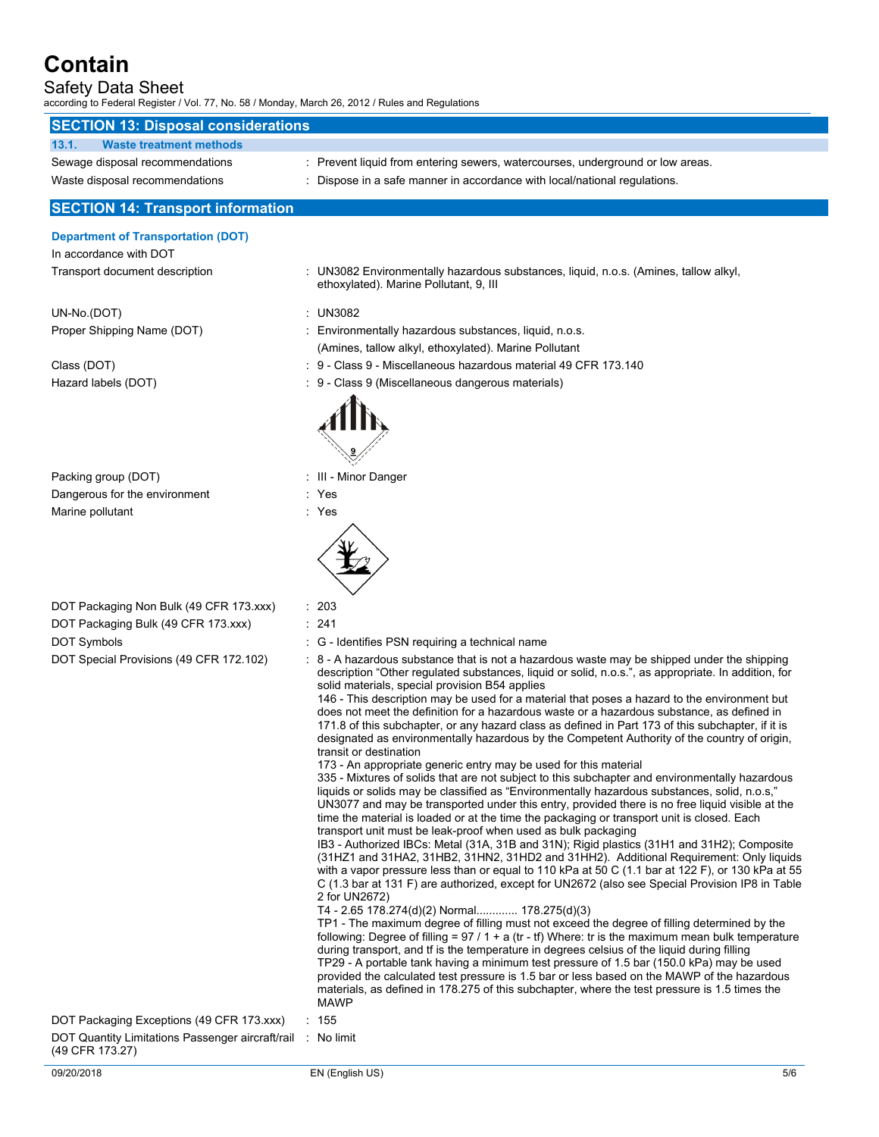# Safety Data Sheet

according to Federal Register / Vol. 77, No. 58 / Monday, March 26, 2012 / Rules and Regulations

| <b>SECTION 13: Disposal considerations</b>                                     |                                                                                                                                                                                                                                                                                                                                                                                                                                                                                                                                                                                                                                                                                                                                                                                                                                                                                                                                                                                                                                                                                                                                                                                                                                                                                                                                                                                                                                                                                                                                                                                                                                                                                                                                                                                                                                                                                                                                                                                                                                                                                                                                                                                                                                                                                                   |
|--------------------------------------------------------------------------------|---------------------------------------------------------------------------------------------------------------------------------------------------------------------------------------------------------------------------------------------------------------------------------------------------------------------------------------------------------------------------------------------------------------------------------------------------------------------------------------------------------------------------------------------------------------------------------------------------------------------------------------------------------------------------------------------------------------------------------------------------------------------------------------------------------------------------------------------------------------------------------------------------------------------------------------------------------------------------------------------------------------------------------------------------------------------------------------------------------------------------------------------------------------------------------------------------------------------------------------------------------------------------------------------------------------------------------------------------------------------------------------------------------------------------------------------------------------------------------------------------------------------------------------------------------------------------------------------------------------------------------------------------------------------------------------------------------------------------------------------------------------------------------------------------------------------------------------------------------------------------------------------------------------------------------------------------------------------------------------------------------------------------------------------------------------------------------------------------------------------------------------------------------------------------------------------------------------------------------------------------------------------------------------------------|
| <b>Waste treatment methods</b><br>13.1.                                        |                                                                                                                                                                                                                                                                                                                                                                                                                                                                                                                                                                                                                                                                                                                                                                                                                                                                                                                                                                                                                                                                                                                                                                                                                                                                                                                                                                                                                                                                                                                                                                                                                                                                                                                                                                                                                                                                                                                                                                                                                                                                                                                                                                                                                                                                                                   |
| Sewage disposal recommendations                                                | : Prevent liquid from entering sewers, watercourses, underground or low areas.                                                                                                                                                                                                                                                                                                                                                                                                                                                                                                                                                                                                                                                                                                                                                                                                                                                                                                                                                                                                                                                                                                                                                                                                                                                                                                                                                                                                                                                                                                                                                                                                                                                                                                                                                                                                                                                                                                                                                                                                                                                                                                                                                                                                                    |
| Waste disposal recommendations                                                 | : Dispose in a safe manner in accordance with local/national regulations.                                                                                                                                                                                                                                                                                                                                                                                                                                                                                                                                                                                                                                                                                                                                                                                                                                                                                                                                                                                                                                                                                                                                                                                                                                                                                                                                                                                                                                                                                                                                                                                                                                                                                                                                                                                                                                                                                                                                                                                                                                                                                                                                                                                                                         |
| <b>SECTION 14: Transport information</b>                                       |                                                                                                                                                                                                                                                                                                                                                                                                                                                                                                                                                                                                                                                                                                                                                                                                                                                                                                                                                                                                                                                                                                                                                                                                                                                                                                                                                                                                                                                                                                                                                                                                                                                                                                                                                                                                                                                                                                                                                                                                                                                                                                                                                                                                                                                                                                   |
| <b>Department of Transportation (DOT)</b><br>In accordance with DOT            |                                                                                                                                                                                                                                                                                                                                                                                                                                                                                                                                                                                                                                                                                                                                                                                                                                                                                                                                                                                                                                                                                                                                                                                                                                                                                                                                                                                                                                                                                                                                                                                                                                                                                                                                                                                                                                                                                                                                                                                                                                                                                                                                                                                                                                                                                                   |
| Transport document description                                                 | : UN3082 Environmentally hazardous substances, liquid, n.o.s. (Amines, tallow alkyl,<br>ethoxylated). Marine Pollutant, 9, III                                                                                                                                                                                                                                                                                                                                                                                                                                                                                                                                                                                                                                                                                                                                                                                                                                                                                                                                                                                                                                                                                                                                                                                                                                                                                                                                                                                                                                                                                                                                                                                                                                                                                                                                                                                                                                                                                                                                                                                                                                                                                                                                                                    |
| UN-No.(DOT)                                                                    | <b>UN3082</b>                                                                                                                                                                                                                                                                                                                                                                                                                                                                                                                                                                                                                                                                                                                                                                                                                                                                                                                                                                                                                                                                                                                                                                                                                                                                                                                                                                                                                                                                                                                                                                                                                                                                                                                                                                                                                                                                                                                                                                                                                                                                                                                                                                                                                                                                                     |
| Proper Shipping Name (DOT)                                                     | Environmentally hazardous substances, liquid, n.o.s.                                                                                                                                                                                                                                                                                                                                                                                                                                                                                                                                                                                                                                                                                                                                                                                                                                                                                                                                                                                                                                                                                                                                                                                                                                                                                                                                                                                                                                                                                                                                                                                                                                                                                                                                                                                                                                                                                                                                                                                                                                                                                                                                                                                                                                              |
|                                                                                | (Amines, tallow alkyl, ethoxylated). Marine Pollutant                                                                                                                                                                                                                                                                                                                                                                                                                                                                                                                                                                                                                                                                                                                                                                                                                                                                                                                                                                                                                                                                                                                                                                                                                                                                                                                                                                                                                                                                                                                                                                                                                                                                                                                                                                                                                                                                                                                                                                                                                                                                                                                                                                                                                                             |
| Class (DOT)                                                                    | 9 - Class 9 - Miscellaneous hazardous material 49 CFR 173.140                                                                                                                                                                                                                                                                                                                                                                                                                                                                                                                                                                                                                                                                                                                                                                                                                                                                                                                                                                                                                                                                                                                                                                                                                                                                                                                                                                                                                                                                                                                                                                                                                                                                                                                                                                                                                                                                                                                                                                                                                                                                                                                                                                                                                                     |
| Hazard labels (DOT)                                                            | 9 - Class 9 (Miscellaneous dangerous materials)                                                                                                                                                                                                                                                                                                                                                                                                                                                                                                                                                                                                                                                                                                                                                                                                                                                                                                                                                                                                                                                                                                                                                                                                                                                                                                                                                                                                                                                                                                                                                                                                                                                                                                                                                                                                                                                                                                                                                                                                                                                                                                                                                                                                                                                   |
|                                                                                |                                                                                                                                                                                                                                                                                                                                                                                                                                                                                                                                                                                                                                                                                                                                                                                                                                                                                                                                                                                                                                                                                                                                                                                                                                                                                                                                                                                                                                                                                                                                                                                                                                                                                                                                                                                                                                                                                                                                                                                                                                                                                                                                                                                                                                                                                                   |
| Packing group (DOT)                                                            | : III - Minor Danger                                                                                                                                                                                                                                                                                                                                                                                                                                                                                                                                                                                                                                                                                                                                                                                                                                                                                                                                                                                                                                                                                                                                                                                                                                                                                                                                                                                                                                                                                                                                                                                                                                                                                                                                                                                                                                                                                                                                                                                                                                                                                                                                                                                                                                                                              |
| Dangerous for the environment                                                  | : Yes                                                                                                                                                                                                                                                                                                                                                                                                                                                                                                                                                                                                                                                                                                                                                                                                                                                                                                                                                                                                                                                                                                                                                                                                                                                                                                                                                                                                                                                                                                                                                                                                                                                                                                                                                                                                                                                                                                                                                                                                                                                                                                                                                                                                                                                                                             |
| Marine pollutant                                                               | : Yes                                                                                                                                                                                                                                                                                                                                                                                                                                                                                                                                                                                                                                                                                                                                                                                                                                                                                                                                                                                                                                                                                                                                                                                                                                                                                                                                                                                                                                                                                                                                                                                                                                                                                                                                                                                                                                                                                                                                                                                                                                                                                                                                                                                                                                                                                             |
|                                                                                |                                                                                                                                                                                                                                                                                                                                                                                                                                                                                                                                                                                                                                                                                                                                                                                                                                                                                                                                                                                                                                                                                                                                                                                                                                                                                                                                                                                                                                                                                                                                                                                                                                                                                                                                                                                                                                                                                                                                                                                                                                                                                                                                                                                                                                                                                                   |
| DOT Packaging Non Bulk (49 CFR 173.xxx)                                        | : 203                                                                                                                                                                                                                                                                                                                                                                                                                                                                                                                                                                                                                                                                                                                                                                                                                                                                                                                                                                                                                                                                                                                                                                                                                                                                                                                                                                                                                                                                                                                                                                                                                                                                                                                                                                                                                                                                                                                                                                                                                                                                                                                                                                                                                                                                                             |
| DOT Packaging Bulk (49 CFR 173.xxx)                                            | : 241                                                                                                                                                                                                                                                                                                                                                                                                                                                                                                                                                                                                                                                                                                                                                                                                                                                                                                                                                                                                                                                                                                                                                                                                                                                                                                                                                                                                                                                                                                                                                                                                                                                                                                                                                                                                                                                                                                                                                                                                                                                                                                                                                                                                                                                                                             |
| DOT Symbols                                                                    | : G - Identifies PSN requiring a technical name                                                                                                                                                                                                                                                                                                                                                                                                                                                                                                                                                                                                                                                                                                                                                                                                                                                                                                                                                                                                                                                                                                                                                                                                                                                                                                                                                                                                                                                                                                                                                                                                                                                                                                                                                                                                                                                                                                                                                                                                                                                                                                                                                                                                                                                   |
| DOT Special Provisions (49 CFR 172.102)                                        | : 8 - A hazardous substance that is not a hazardous waste may be shipped under the shipping<br>description "Other regulated substances, liquid or solid, n.o.s.", as appropriate. In addition, for<br>solid materials, special provision B54 applies<br>146 - This description may be used for a material that poses a hazard to the environment but<br>does not meet the definition for a hazardous waste or a hazardous substance, as defined in<br>171.8 of this subchapter, or any hazard class as defined in Part 173 of this subchapter, if it is<br>designated as environmentally hazardous by the Competent Authority of the country of origin,<br>transit or destination<br>173 - An appropriate generic entry may be used for this material<br>335 - Mixtures of solids that are not subject to this subchapter and environmentally hazardous<br>liquids or solids may be classified as "Environmentally hazardous substances, solid, n.o.s,"<br>UN3077 and may be transported under this entry, provided there is no free liquid visible at the<br>time the material is loaded or at the time the packaging or transport unit is closed. Each<br>transport unit must be leak-proof when used as bulk packaging<br>IB3 - Authorized IBCs: Metal (31A, 31B and 31N); Rigid plastics (31H1 and 31H2); Composite<br>(31HZ1 and 31HA2, 31HB2, 31HN2, 31HD2 and 31HH2). Additional Requirement: Only liquids<br>with a vapor pressure less than or equal to 110 kPa at 50 C (1.1 bar at 122 F), or 130 kPa at 55<br>C (1.3 bar at 131 F) are authorized, except for UN2672 (also see Special Provision IP8 in Table<br>2 for UN2672)<br>T4 - 2.65 178.274(d)(2) Normal 178.275(d)(3)<br>TP1 - The maximum degree of filling must not exceed the degree of filling determined by the<br>following: Degree of filling = 97 / 1 + a (tr - tf) Where: tr is the maximum mean bulk temperature<br>during transport, and if is the temperature in degrees celsius of the liquid during filling<br>TP29 - A portable tank having a minimum test pressure of 1.5 bar (150.0 kPa) may be used<br>provided the calculated test pressure is 1.5 bar or less based on the MAWP of the hazardous<br>materials, as defined in 178.275 of this subchapter, where the test pressure is 1.5 times the<br>MAWP |
| DOT Packaging Exceptions (49 CFR 173.xxx)                                      | $\therefore$ 155                                                                                                                                                                                                                                                                                                                                                                                                                                                                                                                                                                                                                                                                                                                                                                                                                                                                                                                                                                                                                                                                                                                                                                                                                                                                                                                                                                                                                                                                                                                                                                                                                                                                                                                                                                                                                                                                                                                                                                                                                                                                                                                                                                                                                                                                                  |
| DOT Quantity Limitations Passenger aircraft/rail : No limit<br>(49 CFR 173.27) |                                                                                                                                                                                                                                                                                                                                                                                                                                                                                                                                                                                                                                                                                                                                                                                                                                                                                                                                                                                                                                                                                                                                                                                                                                                                                                                                                                                                                                                                                                                                                                                                                                                                                                                                                                                                                                                                                                                                                                                                                                                                                                                                                                                                                                                                                                   |